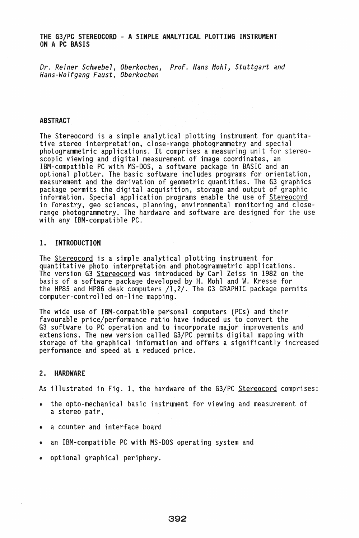# THE G3/PC STEREOCORD - A SIMPLE ANALYTICAL PLOTTING INSTRUMENT ON A PC BASIS

*Dr. Reiner Schwebel, Oberkochen, Prof. Hans Mohl, Stuttgart and Hans-Wolfgang Faust, Oberkochen* 

## ABSTRACT

The Stereocord is a simple analytical plotting instrument for quantita- tive stereo interpretation, close-range photogrammetry and special photogrammetric applications. It comprises a measuring unit for stereoscopic viewing and digital measurement of image coordinates, an IBM-compatible PC with MS-DOS, a software package in BASIC and an optional plotter. The basic software includes programs for orientation, package permits the digital acquisition, storage and output of graphic<br>information. Special application programs enable the use of Stereocord in forestry, geo sciences, planning, environmental monitoring and closerange photogrammetry. The hardware and software are designed for the use with any IBM-compatible PC.

## 1. INTRODUCTION

The <u>Stereocord</u> is a simple analytical plotting instrument for<br>quantitative photo interpretation and photogrammetric applications. quantitative photo interpretation and photogrammetric applications.<br>The version G3 <u>Stereocord</u> was introduced by Carl Zeiss in 1982 on the basis of a software package developed by H. Mohl and W. Kresse for the HP85 and HP86 desk computers /1,2/. The G3 GRAPHIC package permits computer-controlled on-line mapping.

The wide use of IBM-compatible personal computers (PCs) and their favourable price/performance ratio have induced us to convert the G3 software to PC operation and to incorporate major improvements and extensions. The new version called G3/PC permits digital mapping with storage of the graphical information and offers a significantly increased performance and speed at a reduced price.

#### 2. HARDWARE

As illustrated in Fig. 1, the hardware of the G3/PC Stereocord comprises:

- the opto-mechanical basic instrument for viewing and measurement of a stereo pair,
- a counter and interface board
- an IBM-compatible PC with MS-DOS operating system and
- optional graphical periphery.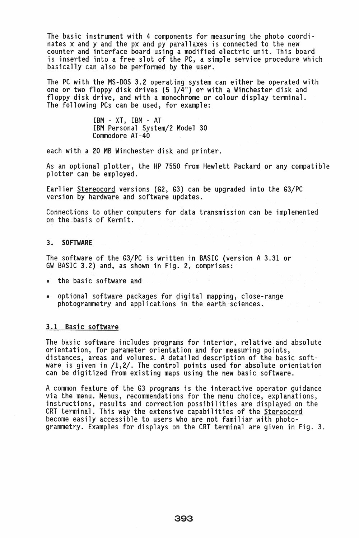The basic instrument with 4 components for measuring the photo coordinates x and y and the px and py parallaxes is connected to the new counter and interface board using a modified electric unit. This board is inserted into a free slot of the PC, a simple service procedure which basically can also be performed by the user.

The PC with the MS-DOS 3.2 operating system can either be operated with one or two floppy disk drives (5 1/4") or with a Winchester disk and floppy disk drive, and with a monochrome or colour display terminal. The following PCs can be used, for example:

> IBM - XT, IBM - AT IBM Personal System/2 Model 30 Commodore AT-40

each with a 20 MB Winchester disk and printer.

As an optional plotter, the HP 7550 from Hewlett Packard or any compatible plotter can be employed.

Earlier Stereocord versions (G2, G3) can be upgraded into the G3/PC version by hardware and software updates.

Connections to other computers for data transmission can be implemented on the basis of Kermit.

## 3. SOFTWARE

The software of the G3/PC is written in BASIC (version A 3.31 or GW BASIC 3.2) and, as shown in Fig. 2, comprises:

- the basic software and
- optional software packages for digital mapping, close-range photogrammetry and applications in the earth sciences.

#### 3.1 Basic software

The basic software includes programs for interior, relative and absolute orientation, for parameter orientation and for measuring points, distances, areas and volumes. A detailed description of the basic software is given in /1,2/. The control points used for absolute orientation can be digitized from existing maps using the new basic software.

A common feature of the G3 programs is the interactive operator guidance<br>via the menu. Menus, recommendations for the menu choice, explanations,<br>instructions, results and correction possibilities are displayed on the CRT terminal. This way the extensive capabilities of the Stereocord become easily accessible to users who are not familiar with photogrammetry. Examples for displays on the CRT terminal are given in Fig. 3.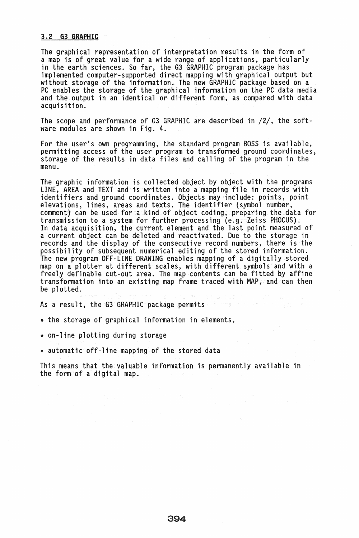#### 3.2 G3 GRAPHIC

The graphical representation of interpretation results in the form of<br>a map is of great value for a wide range of applications, particularly a map is of great value for a wide range of applications, particularly<br>in the earth sciences. So far, the G3 GRAPHIC program package has implemented computer-supported direct mapping with graphical output but without storage of the information. The new GRAPHIC package based on a PC enables the storage of the graphical information on the PC data media and the output in an identical or different form, as compared with data acquisition.

The scope and performance of G3 GRAPHIC are described in /2/, the software modules are shown in Fig. 4.

For the user's own programming, the standard program BOSS is available, permitting access of the user program to transformed ground coordinates, storage of the results in data files and calling of the program in the menu.

The graphic information is collected object by object with the programs LINE, AREA and TEXT and is written into a mapping file in records with identifiers and ground coordinates. Objects may include: points, point elevations, lines, areas and texts. The identifier (symbol number, comment) can be used for a kind of object coding, preparing the data for transmission to a system for further processing (e.g. Zeiss PHOCUS). In data acquisition, the current element and the last point measured of a current object can be deleted and reactivated. Due to the storage in records and the display of the consecutive record numbers, there is the possibility of subsequent numerical editing of the stored information. The new program OFF-LINE DRAWING enables mapping of a digitally stored map on a plotter at different scales, with different symbols and with a freely definable cut-out area. The map contents can be fitted by affine transformation into an existing map frame traced with MAP, and can then be plotted.

As a result, the G3 GRAPHIC package permits.

• the storage of graphical information in elements,

• on-line plotting during storage

• automatic off-line mapping of the stored data

This means that the valuable information is permanently available in the form of a digital map.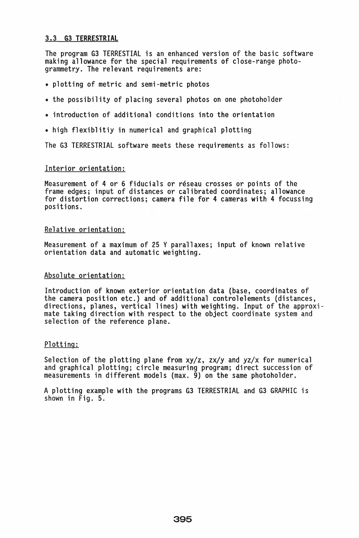# 3.3 G3 TERRESTRIAL

The program G3 TERRESTIAL is an enhanced version of the basic software making allowance for the special requirements of close-range photogrammetry. The relevant requirements are:

- plotting of metric and semi-metric photos
- the possibility of placing several photos on one photoholder
- introduction of additional conditions into the orientation
- high flexiblitiy in numerical and graphical plotting

The G3 TERRESTRIAL software meets these requirements as follows:

## Interior orientation:

Measurement of 4 or 6 fiducials or réseau crosses or points of the frame edges; input of distances or calibrated coordinates; allowance for distortion corrections; camera file for 4 cameras with 4 focussing positions.

#### Relative orientation:

Measurement of a maximum of 25 Y parallaxes; input of known relative orientation data and automatic weighting.

#### Absolute orientation:

Introduction of known exterior orientation data (base, coordinates of the camera position etc.) and of additional controlelements (distances, directions, planes, vertical lines) with weighting. Input of the approximate taking direction with respect to the object coordinate system and selection of the reference plane.

# Plotting:

Selection of the plotting plane from  $xy/z$ ,  $zx/y$  and  $yz/x$  for numerical and graphical plotting; circle measuring program; direct succession of measurements in different models (max. 9) on the same photoholder.

A plotting example with the programs G3 TERRESTRIAL and G3 GRAPHIC is shown in Fig. 5.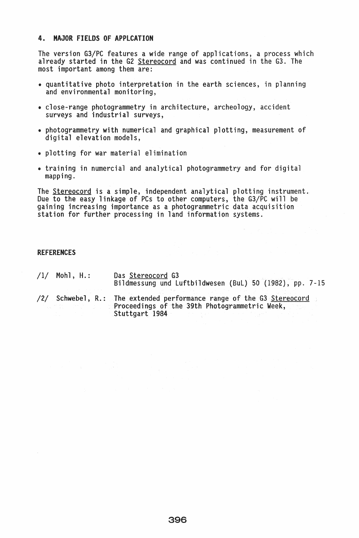## 4. MAJOR fIELDS Of APPlCATION

The version G3/PC features a wide range of applications, a process which already started in the G2 Stereocord and was continued in the G3. The most important among them are:

- quantitative photo interpretation in the earth sciences, in planning and environmental monitoring,
- close-range photogrammetry in architecture, archeology, accident surveys and industrial surveys,
- photogrammetry with numerical and graphical plotting, measurement of digital elevation models,
- plotting for war material elimination
- training in numercial and analytical photogrammetry and for digital mapping.

The Stereocord is a simple, independent analytical plotting instrument. Due to the easy linkage of PCs to other computers, the G3/PC will be gaining increasing importance as a photogrammetric data acquisition station for further processing in land information systems.

#### REFERENCES

/1/ Mohl, H.: Das Stereocord G3 Bildmessung und Luftbildwesen (BuL) 50 (1982), pp. 7-15

/2/ Schwebel, R.: The extended performance range of the G3 Stereocord Proceedings of the 39th Photogrammetric Week, Stuttgart 1984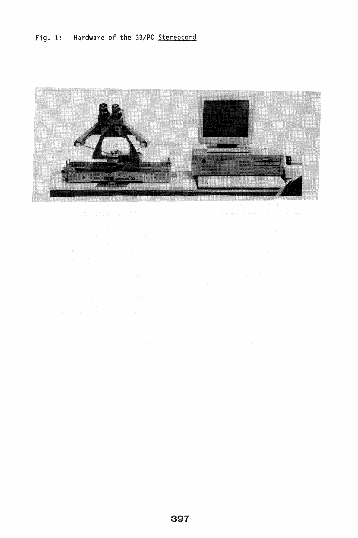# Fig. 1: Hardware of the G3/PC Stereocord

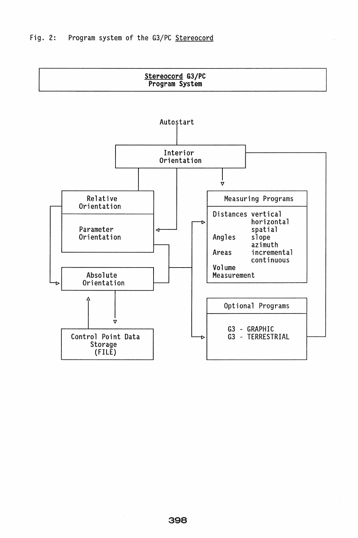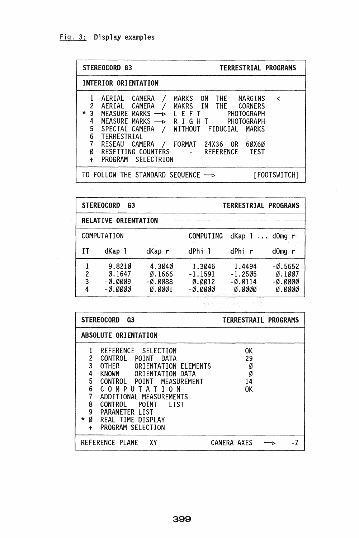| <b>STEREOCORD G3</b>                                                                                                                                                                                                                                                                                                                                                                                                                                   | TERRESTRIAL PROGRAMS                             |
|--------------------------------------------------------------------------------------------------------------------------------------------------------------------------------------------------------------------------------------------------------------------------------------------------------------------------------------------------------------------------------------------------------------------------------------------------------|--------------------------------------------------|
| INTERIOR ORIENTATION                                                                                                                                                                                                                                                                                                                                                                                                                                   |                                                  |
| THE MARGINS<br>AERIAL CAMERA<br>MARKS ON<br>AERIAL CAMERA<br>$\overline{c}$<br>MAKRS IN THE CORNERS<br>$\star$<br>$\mathbf{3}$<br>MEASURE MARKS $\rightarrow$ L E F T<br>PHOTOGRAPH<br>MEASURE MARKS $\longrightarrow$<br>RIGHT<br>4<br>5<br>SPECIAL CAMERA<br>/ WITHOUT FIDUCIAL<br>6<br>TERRESTRIAL<br>7<br><b>RESEAU</b><br>CAMERA<br>FORMAT 24X36 OR<br>Ø<br>RESETTING COUNTERS<br><b>Example 2</b> REFERENCE<br>PROGRAM SELECTRION<br>$\ddotmark$ | ≺<br>PHOTOGRAPH<br><b>MARKS</b><br>6ØX6Ø<br>TEST |
| TO FOLLOW THE STANDARD SEQUENCE $\longrightarrow$                                                                                                                                                                                                                                                                                                                                                                                                      | [FOOTSWITCH]                                     |

|   | <b>STEREOCORD</b><br>G3                            |                                                                            |                                                                                    | TERRESTRIAL PROGRAMS                                  |                                                                         |  |
|---|----------------------------------------------------|----------------------------------------------------------------------------|------------------------------------------------------------------------------------|-------------------------------------------------------|-------------------------------------------------------------------------|--|
|   | <b>RELATIVE ORIENTATION</b>                        |                                                                            |                                                                                    |                                                       |                                                                         |  |
|   | <b>COMPUTATION</b>                                 |                                                                            | <b>COMPUTING</b>                                                                   | dKap 1<br>$\dddot{\phantom{0}}$                       | $d$ Omg $r$                                                             |  |
| Ħ | dKap 1                                             | dKap r                                                                     | dPhi 1                                                                             | dPhi r                                                | $dOmg$ r                                                                |  |
|   | 9.8210<br>0.1647<br>2<br>3<br>$-0.0009$<br>-Ø.ØØØØ | 4.3040<br>$\varnothing$ . 1666<br>$-\emptyset$ . $\emptyset$ Ø88<br>0.0001 | 1.3046<br>$-1.1591$<br>$\varnothing$ . $\varnothing$ $\varnothing$ 12<br>$-0.0000$ | 1.4494<br>$-1.2505$<br>$-0.0114$<br>$\emptyset.$ ØØØØ | $-0.5652$<br>$\varnothing.1\varnothing\varnothing$<br>-Ø.ØØØØ<br>ø.øøøø |  |

| <b>STEREOCORD</b><br>G <sub>3</sub>                                                                                                                                                                                                                                                                                                                                                                          | TERRESTRAIL PROGRAMS                         |
|--------------------------------------------------------------------------------------------------------------------------------------------------------------------------------------------------------------------------------------------------------------------------------------------------------------------------------------------------------------------------------------------------------------|----------------------------------------------|
| <b>ABSOLUTE ORIENTATION</b>                                                                                                                                                                                                                                                                                                                                                                                  |                                              |
| REFERENCE SELECTION<br>$\overline{c}$<br><b>CONTROL</b><br><b>POINT</b><br>DATA<br>3<br><b>OTHER</b><br>ORIENTATION ELEMENTS<br>4<br><b>KNOWN</b><br>ORIENTATION DATA<br>5<br><b>CONTROL</b><br><b>MEASUREMENT</b><br>POINT<br>6<br>COMPUTA<br>ON.<br>7<br>ADDITIONAL MEASUREMENTS<br>8<br>CONTROL<br>POINT<br>l IST<br>9<br>PARAMETER LIST<br>Ø<br>*<br>REAL TIME DISPLAY<br>PROGRAM SELECTION<br>$\ddot{}$ | <b>OK</b><br>29<br>Ø<br>Ø<br>14<br><b>OK</b> |
| REFERENCE PLANE<br>XΥ                                                                                                                                                                                                                                                                                                                                                                                        | CAMERA AXES                                  |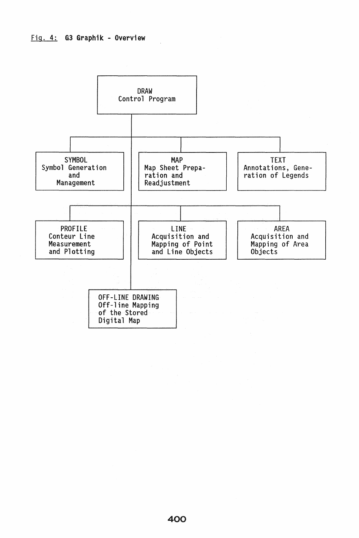